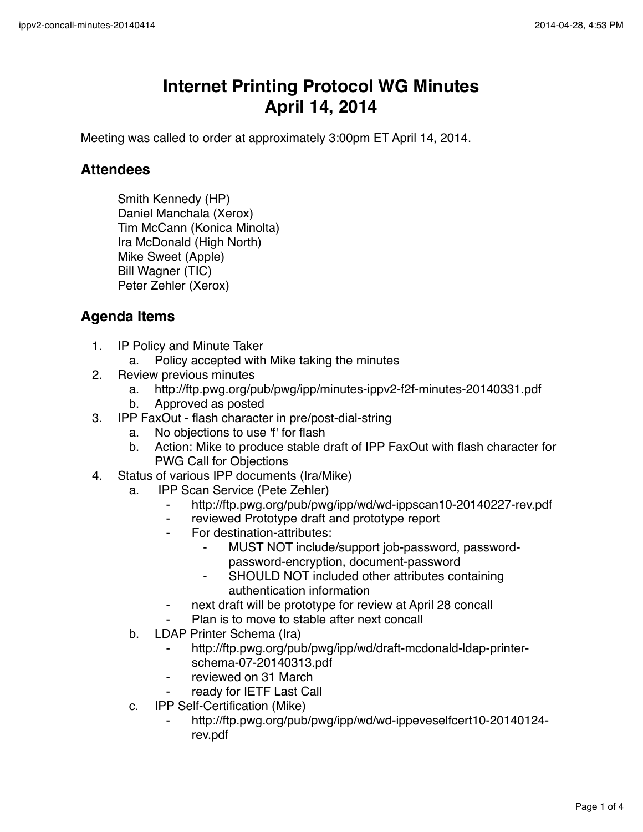## **Internet Printing Protocol WG Minutes April 14, 2014**

Meeting was called to order at approximately 3:00pm ET April 14, 2014.

## **Attendees**

Smith Kennedy (HP) Daniel Manchala (Xerox) Tim McCann (Konica Minolta) Ira McDonald (High North) Mike Sweet (Apple) Bill Wagner (TIC) Peter Zehler (Xerox)

## **Agenda Items**

- 1. IP Policy and Minute Taker
	- a. Policy accepted with Mike taking the minutes
- 2. Review previous minutes
	- a. http://ftp.pwg.org/pub/pwg/ipp/minutes-ippv2-f2f-minutes-20140331.pdf
	- b. Approved as posted
- 3. IPP FaxOut flash character in pre/post-dial-string
	- a. No objections to use 'f' for flash
	- b. Action: Mike to produce stable draft of IPP FaxOut with flash character for PWG Call for Objections
- 4. Status of various IPP documents (Ira/Mike)
	- a. IPP Scan Service (Pete Zehler)
		- ⁃ http://ftp.pwg.org/pub/pwg/ipp/wd/wd-ippscan10-20140227-rev.pdf
		- ⁃ reviewed Prototype draft and prototype report
		- For destination-attributes:
			- MUST NOT include/support job-password, passwordpassword-encryption, document-password
			- SHOULD NOT included other attributes containing authentication information
		- ⁃ next draft will be prototype for review at April 28 concall
		- Plan is to move to stable after next concall
	- b. LDAP Printer Schema (Ira)
		- http://ftp.pwg.org/pub/pwg/ipp/wd/draft-mcdonald-ldap-printerschema-07-20140313.pdf
		- reviewed on 31 March
		- ready for IETF Last Call
	- c. IPP Self-Certification (Mike)
		- ⁃ http://ftp.pwg.org/pub/pwg/ipp/wd/wd-ippeveselfcert10-20140124 rev.pdf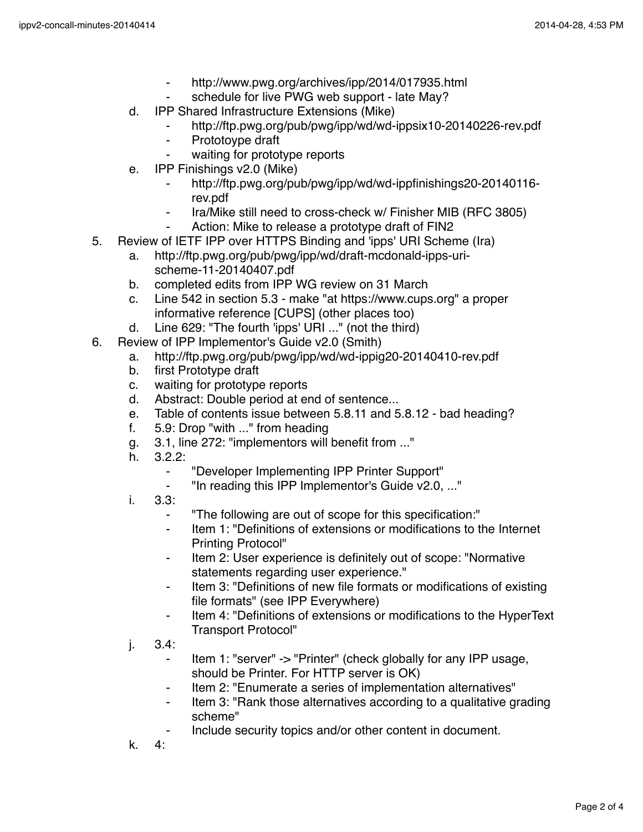- ⁃ http://www.pwg.org/archives/ipp/2014/017935.html
- schedule for live PWG web support late May?
- d. IPP Shared Infrastructure Extensions (Mike)
	- http://ftp.pwg.org/pub/pwg/ipp/wd/wd-ippsix10-20140226-rev.pdf
	- ⁃ Prototoype draft
		- waiting for prototype reports
- e. IPP Finishings v2.0 (Mike)
	- ⁃ http://ftp.pwg.org/pub/pwg/ipp/wd/wd-ippfinishings20-20140116 rev.pdf
	- ⁃ Ira/Mike still need to cross-check w/ Finisher MIB (RFC 3805)
	- Action: Mike to release a prototype draft of FIN2
- 5. Review of IETF IPP over HTTPS Binding and 'ipps' URI Scheme (Ira)
	- a. http://ftp.pwg.org/pub/pwg/ipp/wd/draft-mcdonald-ipps-urischeme-11-20140407.pdf
	- b. completed edits from IPP WG review on 31 March
	- c. Line 542 in section 5.3 make "at https://www.cups.org" a proper informative reference [CUPS] (other places too)
	- d. Line 629: "The fourth 'ipps' URI ..." (not the third)
- 6. Review of IPP Implementor's Guide v2.0 (Smith)
	- a. http://ftp.pwg.org/pub/pwg/ipp/wd/wd-ippig20-20140410-rev.pdf
	- b. first Prototype draft
	- c. waiting for prototype reports
	- d. Abstract: Double period at end of sentence...
	- e. Table of contents issue between 5.8.11 and 5.8.12 bad heading?
	- f. 5.9: Drop "with ..." from heading
	- g. 3.1, line 272: "implementors will benefit from ..."
	- h. 3.2.2:
		- ⁃ "Developer Implementing IPP Printer Support"
			- "In reading this IPP Implementor's Guide v2.0, ..."
	- i. 3.3:
		- ⁃ "The following are out of scope for this specification:"
		- ⁃ Item 1: "Definitions of extensions or modifications to the Internet Printing Protocol"
		- Item 2: User experience is definitely out of scope: "Normative statements regarding user experience."
		- ⁃ Item 3: "Definitions of new file formats or modifications of existing file formats" (see IPP Everywhere)
		- Item 4: "Definitions of extensions or modifications to the HyperText Transport Protocol"
	- j. 3.4:
		- Item 1: "server" -> "Printer" (check globally for any IPP usage, should be Printer. For HTTP server is OK)
		- Item 2: "Enumerate a series of implementation alternatives"
		- Item 3: "Rank those alternatives according to a qualitative grading scheme"
		- Include security topics and/or other content in document.
	- k. 4: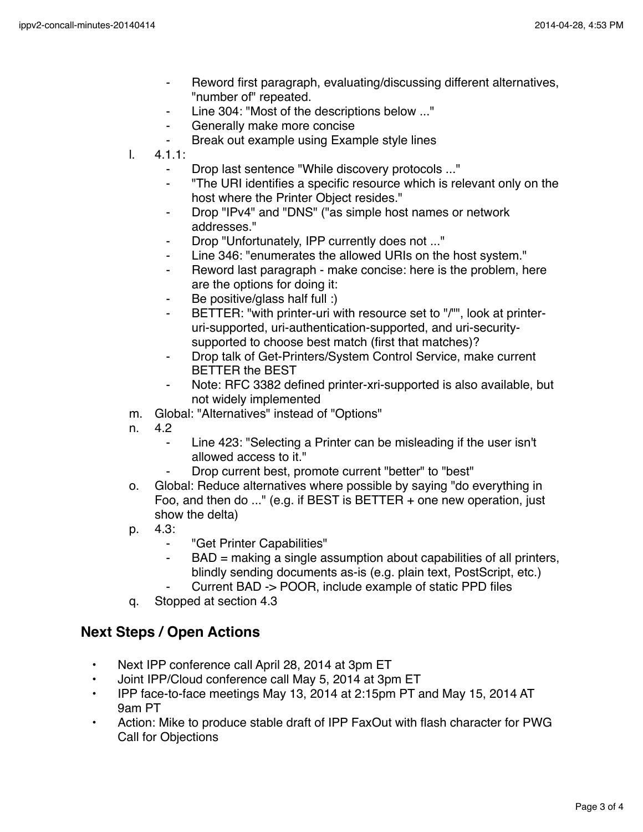- ⁃ Reword first paragraph, evaluating/discussing different alternatives, "number of" repeated.
- Line 304: "Most of the descriptions below ..."
- ⁃ Generally make more concise
- Break out example using Example style lines
- l. 4.1.1:
	- ⁃ Drop last sentence "While discovery protocols ..."
	- ⁃ "The URI identifies a specific resource which is relevant only on the host where the Printer Object resides."
	- ⁃ Drop "IPv4" and "DNS" ("as simple host names or network addresses."
	- Drop "Unfortunately, IPP currently does not ..."
	- Line 346: "enumerates the allowed URIs on the host system."
	- ⁃ Reword last paragraph make concise: here is the problem, here are the options for doing it:
	- Be positive/glass half full :)
	- BETTER: "with printer-uri with resource set to "/"", look at printeruri-supported, uri-authentication-supported, and uri-securitysupported to choose best match (first that matches)?
	- ⁃ Drop talk of Get-Printers/System Control Service, make current BETTER the BEST
	- Note: RFC 3382 defined printer-xri-supported is also available, but not widely implemented
- m. Global: "Alternatives" instead of "Options"
- n. 4.2
	- Line 423: "Selecting a Printer can be misleading if the user isn't allowed access to it."
	- Drop current best, promote current "better" to "best"
- o. Global: Reduce alternatives where possible by saying "do everything in Foo, and then do ..." (e.g. if BEST is BETTER + one new operation, just show the delta)
- p. 4.3:
	- ⁃ "Get Printer Capabilities"
	- ⁃ BAD = making a single assumption about capabilities of all printers, blindly sending documents as-is (e.g. plain text, PostScript, etc.)
		- Current BAD -> POOR, include example of static PPD files
- q. Stopped at section 4.3

## **Next Steps / Open Actions**

- Next IPP conference call April 28, 2014 at 3pm ET
- Joint IPP/Cloud conference call May 5, 2014 at 3pm ET
- IPP face-to-face meetings May 13, 2014 at 2:15pm PT and May 15, 2014 AT 9am PT
- Action: Mike to produce stable draft of IPP FaxOut with flash character for PWG Call for Objections